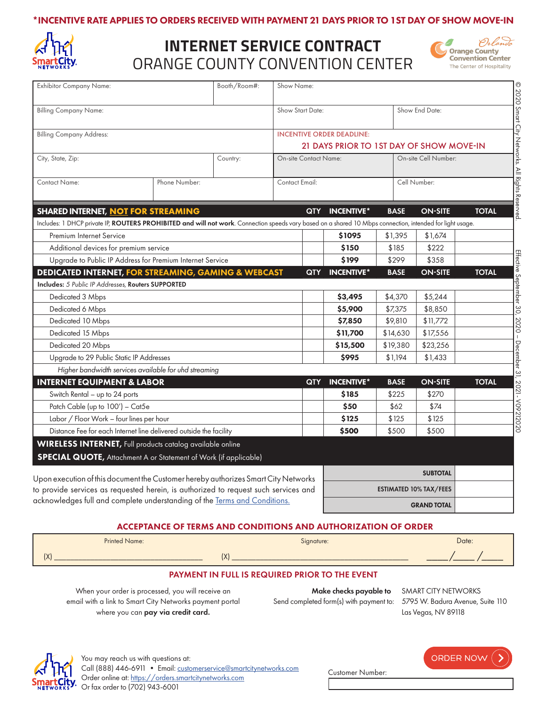#### \*INCENTIVE RATE APPLIES TO ORDERS RECEIVED WITH PAYMENT 21 DAYS PRIOR TO 1ST DAY OF SHOW MOVE-IN



## ORANGE COUNTY CONVENTION CENTER **INTERNET SERVICE CONTRACT**



| <b>Exhibitor Company Name:</b>                                                                                                                                                                         |                                                       | Booth/Room#: | Show Name:                                           |                   |              |                 |              |  |
|--------------------------------------------------------------------------------------------------------------------------------------------------------------------------------------------------------|-------------------------------------------------------|--------------|------------------------------------------------------|-------------------|--------------|-----------------|--------------|--|
| <b>Billing Company Name:</b><br><b>Billing Company Address:</b>                                                                                                                                        |                                                       |              | Show Start Date:                                     |                   |              | Show End Date:  |              |  |
|                                                                                                                                                                                                        |                                                       |              | <b>INCENTIVE ORDER DEADLINE:</b>                     |                   |              |                 |              |  |
|                                                                                                                                                                                                        |                                                       |              | 21 DAYS PRIOR TO 1ST DAY OF SHOW MOVE-IN             |                   |              |                 |              |  |
| City, State, Zip:                                                                                                                                                                                      |                                                       | Country:     | On-site Cell Number:<br><b>On-site Contact Name:</b> |                   |              |                 |              |  |
| Contact Name:                                                                                                                                                                                          | Phone Number:                                         |              | Contact Email:                                       |                   | Cell Number: |                 |              |  |
|                                                                                                                                                                                                        |                                                       |              | <b>QTY</b>                                           | <b>INCENTIVE*</b> | <b>BASE</b>  | <b>ON-SITE</b>  | <b>TOTAL</b> |  |
| <b>SHARED INTERNET, NOT FOR STREAMING</b><br>Includes: 1 DHCP private IP, ROUTERS PROHIBITED and will not work. Connection speeds vary based on a shared 10 Mbps connection, intended for light usage. |                                                       |              |                                                      |                   |              |                 |              |  |
| Premium Internet Service                                                                                                                                                                               |                                                       |              |                                                      | \$1095            | \$1,395      | \$1,674         |              |  |
| Additional devices for premium service                                                                                                                                                                 |                                                       |              |                                                      | \$150             | \$185        | \$222           |              |  |
| Upgrade to Public IP Address for Premium Internet Service                                                                                                                                              |                                                       |              |                                                      | \$199             | \$299        | \$358           |              |  |
| <b>DEDICATED INTERNET, FOR STREAMING, GAMING &amp; WEBCAST</b>                                                                                                                                         |                                                       |              | <b>QTY</b>                                           | <b>INCENTIVE*</b> | <b>BASE</b>  | <b>ON-SITE</b>  | <b>TOTAL</b> |  |
| Includes: 5 Public IP Addresses, Routers SUPPORTED                                                                                                                                                     |                                                       |              |                                                      |                   |              |                 |              |  |
| Dedicated 3 Mbps                                                                                                                                                                                       |                                                       |              |                                                      | \$3,495           | \$4,370      | \$5,244         |              |  |
| Dedicated 6 Mbps                                                                                                                                                                                       |                                                       |              |                                                      | \$5,900           | \$7,375      | \$8,850         |              |  |
| Dedicated 10 Mbps                                                                                                                                                                                      |                                                       |              |                                                      | \$7,850           | \$9,810      | \$11,772        |              |  |
| Dedicated 15 Mbps                                                                                                                                                                                      |                                                       |              |                                                      | \$11,700          | \$14,630     | \$17,556        |              |  |
| Dedicated 20 Mbps                                                                                                                                                                                      |                                                       |              |                                                      | \$15,500          | \$19,380     | \$23,256        |              |  |
| Upgrade to 29 Public Static IP Addresses                                                                                                                                                               |                                                       |              |                                                      | \$995             | \$1,194      | \$1,433         |              |  |
|                                                                                                                                                                                                        | Higher bandwidth services available for uhd streaming |              |                                                      |                   |              |                 |              |  |
| <b>INTERNET EQUIPMENT &amp; LABOR</b>                                                                                                                                                                  |                                                       |              | <b>QTY</b>                                           | <b>INCENTIVE*</b> | <b>BASE</b>  | <b>ON-SITE</b>  | <b>TOTAL</b> |  |
| Switch Rental - up to 24 ports                                                                                                                                                                         |                                                       |              |                                                      | \$185             | \$225        | \$270           |              |  |
| Patch Cable (up to 100') - Cat5e                                                                                                                                                                       |                                                       |              |                                                      | \$50              | \$62         | \$74            |              |  |
| Labor / Floor Work - four lines per hour                                                                                                                                                               |                                                       |              |                                                      | \$125             | \$125        | \$125           |              |  |
| Distance Fee for each Internet line delivered outside the facility                                                                                                                                     |                                                       |              |                                                      | \$500             | \$500        | \$500           |              |  |
| <b>WIRELESS INTERNET</b> , Full products catalog available online                                                                                                                                      |                                                       |              |                                                      |                   |              |                 |              |  |
| <b>SPECIAL QUOTE, Attachment A or Statement of Work (if applicable)</b>                                                                                                                                |                                                       |              |                                                      |                   |              |                 |              |  |
| Upon execution of this document the Customer hereby authorizes Smart City Networks                                                                                                                     |                                                       |              |                                                      |                   |              | <b>SUBTOTAL</b> |              |  |
|                                                                                                                                                                                                        |                                                       |              |                                                      |                   |              |                 |              |  |

ACCEPTANCE OF TERMS AND CONDITIONS AND AUTHORIZATION OF ORDER



#### PAYMENT IN FULL IS REQUIRED PRIOR TO THE EVENT

When your order is processed, you will receive an email with a link to Smart City Networks payment portal where you can pay via credit card.

to provide services as requested herein, is authorized to request such services and acknowledges full and complete understanding of the [Terms and Conditions.](https://cdn-public.smartcitynetworks.com/tcforms/075/TNC.pdf?ver=1597339781)

> Make checks payable to SMART CITY NETWORKS Send completed form(s) with payment to: 5795 W. Badura Avenue, Suite 110

> > Customer Number:

Las Vegas, NV 89118

ESTIMATED 10% TAX/FEES

GRAND TOTAL



| <b>ORDER NOW</b> | - 2 |
|------------------|-----|
|------------------|-----|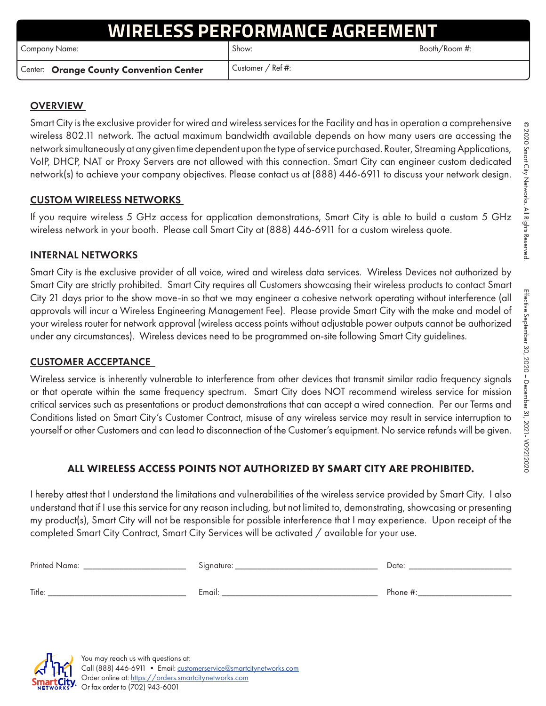# **ESS PERFORMANCE AGREEM**

Company Name: Show: Show: Show: Show: Booth/Room #:

Center: Orange County Convention Center | Customer / Ref #:

### **OVERVIEW**

Smart City is the exclusive provider for wired and wireless services for the Facility and has in operation a comprehensive wireless 802.11 network. The actual maximum bandwidth available depends on how many users are accessing the network simultaneously at any given time dependent upon the type of service purchased. Router, Streaming Applications, VoIP, DHCP, NAT or Proxy Servers are not allowed with this connection. Smart City can engineer custom dedicated network(s) to achieve your company objectives. Please contact us at (888) 446-6911 to discuss your network design.

#### CUSTOM WIRELESS NETWORKS

If you require wireless 5 GHz access for application demonstrations, Smart City is able to build a custom 5 GHz wireless network in your booth. Please call Smart City at (888) 446-6911 for a custom wireless quote.

#### INTERNAL NETWORKS

Smart City is the exclusive provider of all voice, wired and wireless data services. Wireless Devices not authorized by Smart City are strictly prohibited. Smart City requires all Customers showcasing their wireless products to contact Smart City 21 days prior to the show move-in so that we may engineer a cohesive network operating without interference (all approvals will incur a Wireless Engineering Management Fee). Please provide Smart City with the make and model of your wireless router for network approval (wireless access points without adjustable power outputs cannot be authorized under any circumstances). Wireless devices need to be programmed on-site following Smart City guidelines.

### CUSTOMER ACCEPTANCE

Wireless service is inherently vulnerable to interference from other devices that transmit similar radio frequency signals or that operate within the same frequency spectrum. Smart City does NOT recommend wireless service for mission critical services such as presentations or product demonstrations that can accept a wired connection. Per our Terms and Conditions listed on Smart City's Customer Contract, misuse of any wireless service may result in service interruption to yourself or other Customers and can lead to disconnection of the Customer's equipment. No service refunds will be given.

### ALL WIRELESS ACCESS POINTS NOT AUTHORIZED BY SMART CITY ARE PROHIBITED.

I hereby attest that I understand the limitations and vulnerabilities of the wireless service provided by Smart City. I also understand that if I use this service for any reason including, but not limited to, demonstrating, showcasing or presenting my product(s), Smart City will not be responsible for possible interference that I may experience. Upon receipt of the completed Smart City Contract, Smart City Services will be activated / available for your use.

| Printed Name: | Signature: | Date:       |
|---------------|------------|-------------|
| Title:        | Email:     | Phone $#$ : |